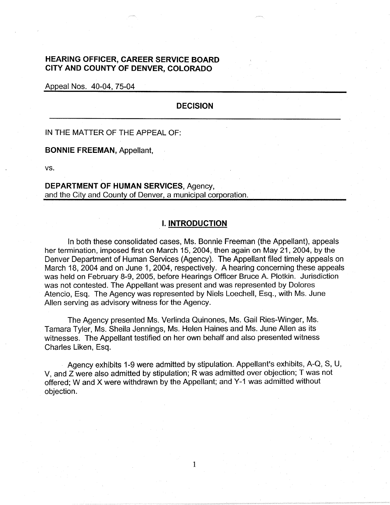# **HEARING OFFICER, CAREER SERVICE BOARD CITY AND COUNTY OF DENVER, COLORADO**

Appeal Nos. 40-04, 75-04

## **DECISION**

IN THE MATTER OF THE APPEAL OF:

**BONNIE FREEMAN,** Appellant,

vs.

**DEPARTMENT OF HUMAN SERVICES,** Agency, and the City and County of Denver, a municipal corporation.

## **I. INTRODUCTION**

In both these consolidated cases, Ms. Bonnie Freeman (the Appellant), appeals her termination, imposed first on March 15, 2004, then again on May 21, 2004, by the Denver Department of Human Services (Agency). The Appellant filed timely appeals on March 18, 2004 and on June 1, 2004, respectively. A hearing concerning these appeals was held on February 8-9, 2005, before Hearings Officer Bruce A. Plotkin. Jurisdiction was not contested. The Appellant was present and was represented by Dolores Atencio, Esq. The Agency was represented by Niels Loechell, Esq., with Ms. June Allen serving as advisory witness for the Agency.

The Agency presented Ms. Verlinda Quinones, Ms. Gail Ries-Winger, Ms. Tamara Tyler, Ms. Sheila Jennings, Ms. Helen Haines and Ms. June Allen as its witnesses. The Appellant testified on her own behalf and also presented witness Charles Liken, Esq.

Agency exhibits 1-9 were admitted by stipulation. Appellant's exhibits, A-Q, S, U, V, and Z were also admitted by stipulation; R was admitted over objection; Twas not offered; Wand X were withdrawn by the Appellant; and Y-1 was admitted without objection.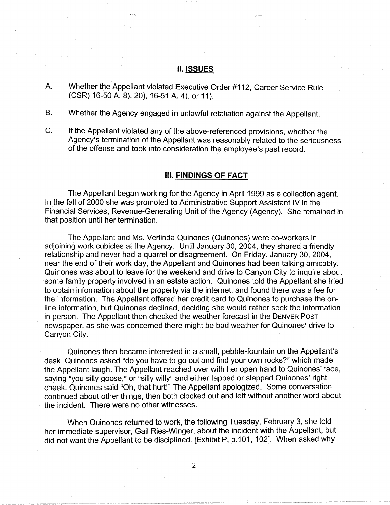## II. **ISSUES**

A. Whether the Appellant violated Executive Order #112, Career Service Rule (CSR) 16-50 A. 8), 20), 16-51 A. 4), or 11 ).

B. Whether the Agency engaged in unlawful retaliation against the Appellant.

C. If the Appellant violated any of the above-referenced provisions, whether the Agency's termination of the Appellant was reasonably related to the seriousness of the offense and took into consideration the employee's past record.

## Ill. **FINDINGS OF FACT**

The Appellant began working for the Agency in April 1999 as a collection agent. In the fall of 2000 she was promoted to Administrative Support Assistant IV in the Financial Services, Revenue-Generating Unit of the Agency (Agency). She remained in that position until her termination.

The Appellant and Ms. Verlinda Quinones (Quinones) were co-workers in adjoining work cubicles at the Agency. Until January 30, 2004, they shared a friendly relationship and never had a quarrel or disagreement. On Friday, January 30, 2004, near the end of their work day, the Appellant and Quinones had been talking amicably. Quinones was about to leave for the weekend and drive to Canyon City to inquire about some family property involved in an estate action. Quinones told the Appellant she tried to obtain information about the property via the internet, and found there was a fee for the information. The Appellant offered her credit card to Quinones to purchase the online information, but Quinones declined, deciding she would rather seek the information in person. The Appellant then checked the weather forecast in the DENVER Posr newspaper, as she was concerned there might be bad weather for Quinones' drive to Canyon City.

Quinones then became interested in a small, pebble-fountain on the Appellant's desk. Quinones asked "do you have to go out and find your own rocks?" which made the Appellant laugh. The Appellant reached over with her open hand to Quinones' face, saying "you silly goose," or "silly willy" and either tapped or slapped Quinones' right · cheek. Quinones said "Oh, that hurt!" The Appellant apologized. Some conversation continued about other things, then both clocked out and left without another word about the incident. There were no other witnesses.

When Quinones returned to work, the following Tuesday, February 3, she told her immediate supervisor, Gail Ries-Winger, about the incident with the Appellant, but did not want the Appellant to be disciplined. [Exhibit P, p.101, 102]. When asked why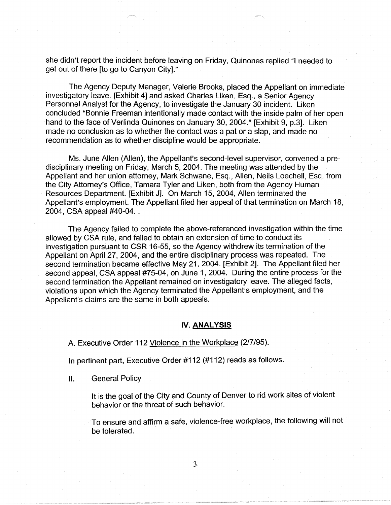she didn't report the incident before leaving on Friday, Quinones replied "I needed to get out of there [to go to Canyon City]."

The Agency Deputy Manager, Valerie Brooks, placed the Appellant on immediate investigatory leave. [Exhibit 4] and asked Charles Liken, Esq., a Senior Agency Personnel Analyst for the Agency, to investigate the January 30 incident. Liken concluded "Bonnie Freeman intentionally made contact with the inside palm of her open hand to the face of Verlinda Quinones on January 30, 2004." [Exhibit 9, p.3]. Liken made no conclusion as to whether the contact was a pat or a slap, and made no recommendation as to whether discipline would be appropriate.

Ms. June Allen (Allen), the Appellant's second-level supervisor, convened a predisciplinary meeting on Friday, March 5, 2004. The meeting was attended by the Appellant and her union attorney, Mark Schwane, Esq., Allen, Neils Loechell, Esq. from the City Attorney's Office, Tamara Tyler and Liken, both from the Agency Human Resources Department. [Exhibit J]. On March 15, 2004, Allen terminated the Appellant's employment. The Appellant filed her appeal of that termination on March 18, 2004, CSA appeal #40-04...

The Agency failed to complete the above-referenced investigation within the time allowed by CSA rule, and failed to obtain an extension of time to conduct its investigation pursuant to CSR 16-55, so the Agency withdrew its termination of the Appellant on April 27, 2004, and the entire disciplinary process was repeated. The second termination became effective May 21, 2004. [Exhibit 2]. The Appellant filed her second appeal, CSA appeal #75-04, on June 1, 2004. During the entire process for the second termination the Appellant remained on investigatory leave. The alleged facts, violations upon which the Agency terminated the Appellant's employment, and the Appellant's claims are the same in both appeals.

## **IV. ANALYSIS**

A. Executive Order 112 Violence in the Workplace (2/7/95).

In pertinent part, Executive Order #112 (#112) reads as follows.

II. General Policy

It is the goal of the City and County of Denver to rid work sites of violent behavior or the threat of such behavior.

To ensure and affirm a safe, violence-free workplace, the following will not be tolerated.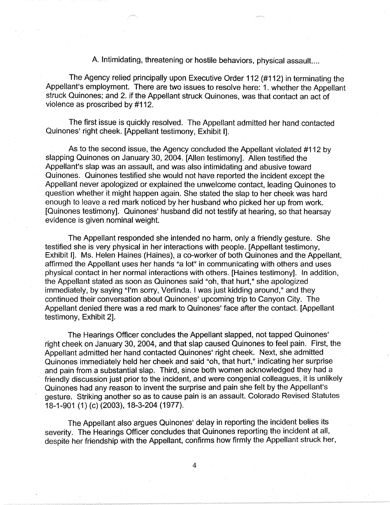A. Intimidating, threatening or hostile behaviors, physical assault....

The Agency relied principally upon Executive Order 112 (#112) in terminating the Appellant's employment. There are two issues to resolve here: 1 . whether the Appellant struck Quinones; and 2. if the Appellant struck Quinones, was that contact an act of violence as proscribed by #112.

The first issue is quickly resolved. The Appellant admitted her hand contacted Quinones' right cheek. [Appellant testimony, Exhibit I].

As to the second issue, the Agency concluded the Appellant violated #112 by slapping Quinones on January 30, 2004. [Allen testimony]. Allen testified the Appellant's slap was an assault, and was also intimidating and abusive toward Quinones. Quinones testified she would not have reported the incident except the Appellant never apologized or explained the unwelcome contact, leading Quinones to question whether it might happen again. She stated the slap to her cheek was hard enough to leave a red mark noticed by her husband who picked her up from work. [Quinones testimony]. Quinones' husband did not testify at hearing, so that hearsay evidence is given nominal weight.

The Appellant responded she intended no harm, only a friendly gesture. She testified she is very physical in her interactions with people. [Appellant testimony, Exhibit I]. Ms. Helen Haines (Haines), a co-worker of both Quinones and the Appellant, affirmed the Appellant uses her hands "a lot" in communicating with others and uses physical contact in her normal interactions with others. [Haines testimony]. In addition, the Appellant stated as soon as Quinones said "oh, that hurt," she apologized immediately, by saying "I'm sorry, Verlinda. I was just kidding around," and they continued their conversation about Quinones' upcoming trip to Canyon City. The Appellant denied there was a red mark to Quinones' face after the contact. [Appellant testimony, Exhibit 2].

The Hearings Officer concludes the Appellant slapped, not tapped Quinones' right cheek on January 30, 2004, and that slap caused Quinones to feel pain. First, the Appellant admitted her hand contacted Quinones' right cheek. Next, she admitted Quinones immediately held her cheek and said "oh, that hurt," indicating her surprise and pain from a substantial slap. Third, since both women acknowledged they had a friendly discussion just prior to the incident, and were congenial colleagues, it is unlikely Quinones had any reason to invent the surprise and pain she felt by the Appellant's gesture. Striking another so as to cause pain is an assault. Colorado Revised Statutes 18-1-901 (1) (c) (2003), 18-3-204 (1977).

The Appellant also argues Quinones' delay in reporting the incident belies its severity. The Hearings Officer concludes that Quinones reporting the incident at all, despite her friendship with the Appellant, confirms how firmly the Appellant struck her,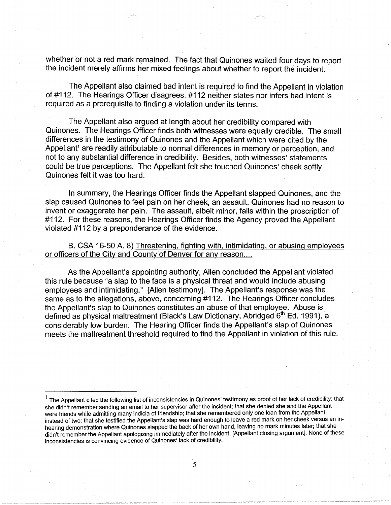whether or not a red mark remained. The fact that Quinones waited four days to report the incident merely affirms her mixed feelings about whether to report the incident.

The Appellant also claimed bad intent is required to find the Appellant in violation of #112. The Hearings Officer disagrees. #112 neither states nor infers bad intent is required as a prerequisite to finding a violation under its terms.

The Appellant also argued at length about her credibility compared with Quinones. The Hearings Officer finds both witnesses were equally credible. The small differences in the testimony of Quinones and the Appellant which were cited by the Appellant<sup>1</sup> are readily attributable to normal differences in memory or perception, and not to any substantial difference in credibility. Besides, both witnesses' statements could be true perceptions. The Appellant felt she touched Quinones' cheek softly. Quinones felt it was too hard.

In summary, the Hearings Officer finds the Appellant slapped Quinones, and the slap caused Quinones to feel pain on her cheek, an assault. Quinones had no reason to invent or exaggerate her pain. The assault, albeit minor, falls within the proscription of #112. For these reasons, the Hearings Officer finds the Agency proved the Appellant violated #112 by a preponderance of the evidence.

B. CSA 16-50 A. 8) Threatening, fighting with, intimidating, or abusing employees or officers of the City and County of Denver for any reason....

As the Appellant's appointing authority, Allen concluded the Appellant violated this rule because "a slap to the face is a physical threat and would include abusing employees and intimidating." [Allen testimony]. The Appellant's response was the same as to the allegations, above, concerning #112. The Hearings Officer concludes the Appellant's slap to Quinones constitutes an abuse of that employee. Abuse is. defined as physical maltreatment (Black's Law Dictionary, Abridged 6<sup>th</sup> Ed. 1991), a considerably low burden. The Hearing Officer finds the Appellant's slap of Quinones meets the maltreatment threshold required to find the Appellant in violation of this rule.

<sup>1</sup>The Appellant cited the following list of inconsistencies in Quinones'testimony as.proof of her lack of credibility: that she didn't remember sending an email to her supervisor after the incident; that she denied she and the Appellant were friends while admitting many indicia of friendship; that she remembered only one loan from the Appellant instead of two; that she testified the Appellant's slap was hard enough to leave a red mark on her cheek versus an inhearing demonstration where Quinones slapped the back of her own hand, leaving no mark minutes later; that she didn't remember the Appellant apologizing immediately after the incident. [Appellant closing argument]. None of these inconsistencies is convincing evidence of Quinones' lack of credibility.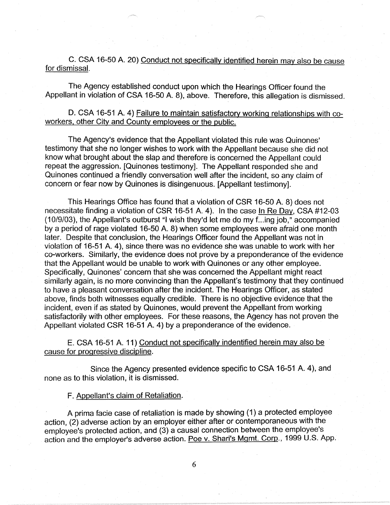C. CSA 16-50 A. 20) Conduct not specifically identified herein may also be cause for dismissal.

The Agency established conduct upon which the Hearings Officer found the Appellant in violation of CSA 16-50 A. 8), above. Therefore, this allegation is dismissed.

## D. CSA 16-51 A. 4) Failure to maintain satisfactory working relationships with coworkers, other City and County employees or the public.

The Agency's evidence that the Appellant violated this rule was Quinones' testimony that she no longer wishes to work with the Appellant because she did not know what brought about the slap and therefore is concerned the Appellant could repeat the aggression. [Quinones testimony]. The Appellant responded she and Quinones continued a friendly conversation well after the incident, so any claim of concern or fear now by Quinones is disingenuous. [Appellant testimony].

This Hearings Office has found that a violation of CSR 16-50 A. 8) does not necessitate finding a violation of CSR 16-51 A. 4). In the case In Re Day, CSA #12-03 (10/9/03), the Appellant's outburst "I wish they'd let me do my f .. .ing job," accompanied by a period of rage violated 16-50 A. 8) when some employees were afraid one month later. Despite that conclusion, the Hearings Officer found the Appellant was not in violation of 16-51 A. 4), since there was no evidence she was unable to work with her co-workers. Similarly, the evidence does not prove by a preponderance of the evidence that the Appellant would be unable to work with Quinones or any other employee. Specifically, Quinones' concern that she was concerned the Appellant might react similarly again, is no more convincing than the Appellant's testimony that they continued to have a pleasant conversation after the incident. The Hearings Officer, as stated above, finds both witnesses equally credible. There is no objective evidence that the incident, even if as stated by Quinones, would prevent the Appellant from working satisfactorily with other employees. For these reasons, the Agency has not proven the Appellant violated CSR 16-51 A. 4) by a preponderance of the evidence.

E. CSA 16-51 A. 11) Conduct not specifically indentified herein may also be cause for progressive discipline.

Since the Agency presented evidence specific to CSA 16-51 A. 4), and none as to this violation, it is dismissed.

## F. Appellant's claim of Retaliation.

A prima facie case of retaliation is made by showing (1) a protected employee action, (2) adverse action by an employer either after or contemporaneous with the employee's protected action, and (3) a causal connection between the employee's action and the employer's adverse action. Poe v. Shari's Mgmt. Corp., 1999 U.S. App.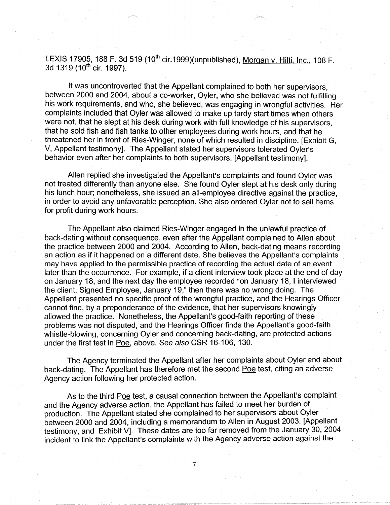LEXIS 17905, 188 F. 3d 519 (10<sup>th</sup> cir.1999)(unpublished), Morgan v. Hilti, Inc., 108 F. 3d 1319 (10<sup>th</sup> cir. 1997).

It was uncontroverted that the Appellant complained to both her supervisors, between 2000 and 2004, about a co-worker, Oyler, who she believed was not fulfilling his work requirements, and who, she believed, was engaging in wrongful activities. Her complaints included that Oyler was allowed to make up tardy start times when others were not, that he slept at his desk during work with full knowledge of his supervisors, that he sold fish and fish tanks to other employees during work hours, and that he threatened her in front of Ries-Winger, none of which resulted in discipline. [Exhibit G, V, Appellant testimony]. The Appellant stated her supervisors tolerated Oyler's behavior even after her complaints to both supervisors. [Appellant testimony].

Allen replied she investigated the Appellant's complaints and found Oyler was not treated differently than anyone else. She found Oyler slept at his desk only during his lunch hour; nonetheless, she issued an all-employee directive against the practice, in order to avoid any unfavorable perception. She also ordered Oyler not to sell items for profit during work hours.

The Appellant also claimed Ries-Winger engaged in the unlawful practice of back-dating without consequence, even after the Appellant complained to Allen about the practice between 2000 and 2004. According to Allen, back-dating means recording an action as if it happened on a different date. She believes the Appellant's complaints may have applied to the permissible practice of recording the actual date of an event later than the occurrence. For example, if a client interview took place at the end of day on January 18, and the next day the employee recorded "on January 18, I interviewed the client. Signed Employee, January 19," then there was no wrong doing. The Appellant presented no specific proof of the wrongful practice, and the Hearings Officer cannot find, by a preponderance of the evidence, that her supervisors knowingly allowed the practice. Nonetheless, the Appellant's good-faith reporting of these problems was not disputed, and the Hearings Officer finds the Appellant's good-faith whistle-blowing, concerning Oyler and concerning back-dating, are protected actions under the first test in Poe, above. See also CSR 16-106, 130.

The Agency terminated the Appellant after her complaints about Oyler and about back-dating. The Appellant has therefore met the second Poe test, citing an adverse Agency action following her protected action.

As to the third Poe test, a causal connection between the Appellant's complaint and the Agency adverse action, the Appellant has failed to meet her burden of production. The Appellant stated she complained to her supervisors about Oyler between 2000 and 2004, including a memorandum to Allen in August 2003. [Appellant testimony, and Exhibit V]. These dates are too far removed from the January 30, 2004 incident to link the Appellant's complaints with the Agency adverse action against the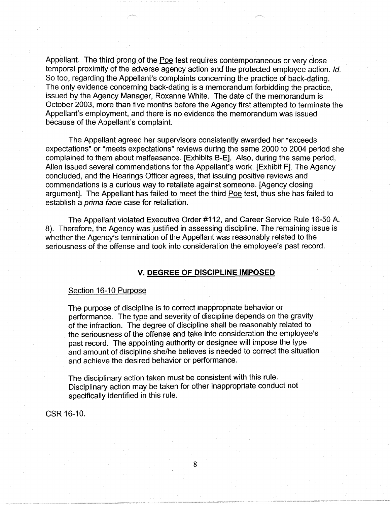Appellant. The third prong of the Poe test requires contemporaneous or very close temporal proximity of the adverse agency action and the protected employee action. Id. So too, regarding the Appellant's complaints concerning the practice of back-dating. The only evidence concerning back-dating is a memorandum forbidding the practice, issued by the Agency Manager, Roxanne White. The date of the memorandum is October 2003, more than five months before the Agency first attempted to terminate the Appellant's employment, and there is no evidence the memorandum was issued because of the Appellant's complaint.

The Appellant agreed her supervisors consistently awarded her "exceeds expectations" or "meets expectations" reviews during the same 2000 to 2004 period she complained to them about malfeasance. [Exhibits 8-E]. Also, during the same period, Allen issued several commendations for the Appellant's work. [Exhibit F]. The Agency concluded, and the Hearings Officer agrees, that issuing positive reviews and commendations is a curious way to retaliate against someone. [Agency closing argument]. The Appellant has failed to meet the third Poe test, thus she has failed to establish a prima facie case for retaliation.

The Appellant violated Executive Order #112, and Career Service Rule 16-50 A. 8). Therefore, the Agency was justified in assessing discipline. The remaining issue is whether the Agency's termination of the Appellant was reasonably related to the seriousness of the offense and took into consideration the employee's past record.

## **V. DEGREE OF DISCIPLINE IMPOSED**

#### Section 16-10 Purpose

The purpose of discipline is to correct inappropriate behavior or performance. The type and severity of discipline depends on the gravity of the infraction. The degree of discipline shall be reasonably related to the seriousness of the offense and take into consideration the employee's past record. The appointing authority or designee will impose the type and amount of discipline she/he believes is needed to correct the situation and achieve the desired behavior or performance.

The disciplinary action taken must be consistent with this rule. Disciplinary action may be taken for other inappropriate conduct not specifically identified in this rule.

8

CSR 16-10.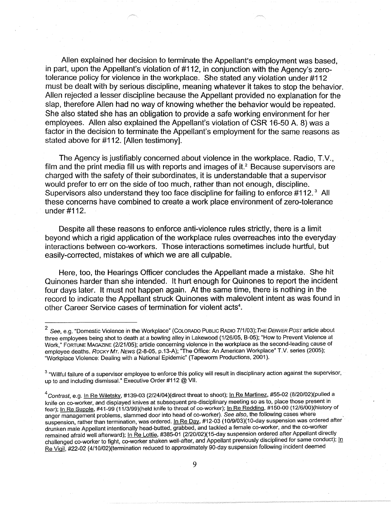Allen explained her decision to terminate the Appellant's employment was based, in part, upon the Appellant's violation of #112, in conjunction with the Agency's zerotolerance policy for violence in the workplace. She stated any violation under #112 must be dealt with by serious discipline, meaning whatever it takes to stop the behavior. Allen rejected a lesser discipline because the Appellant provided no explanation for the slap, therefore Allen had no way of knowing whether the behavior would be repeated. She also stated she has an obligation to provide a safe working environment for her employees. Allen also explained the Appellant's violation of CSR 16-50 A. 8) was a factor in the decision to terminate the Appellant's employment for the same reasons as stated above for #112. [Allen testimony].

The Agency is justifiably concerned about violence in the workplace. Radio, T.V., film and the print media fill us with reports and images of it. $2$  Because supervisors are charged with the safety of their subordinates, it is understandable that a supervisor would prefer to err on the side of too much, rather than not enough, discipline. Supervisors also understand they too face discipline for failing to enforce #112.<sup>3</sup> All these concerns have combined to create a work place environment of zero-tolerance under #112.

Despite all these reasons to enforce anti-violence rules strictly, there is a limit beyond which a rigid application of the workplace rules overreaches into the everyday· interactions between co-workers. Those interactions sometimes include hurtful, but easily-corrected, mistakes of which we are all culpable.

Here, too, the Hearings Officer concludes the Appellant made a mistake. She hit Quinones harder than she intended. It hurt enough for Quinones to report the incident four days later. It must not happen again. At the same time, there is nothing in the record to indicate the Appellant struck Quinones with malevolent intent as was found in other Career Service cases of termination for violent acts<sup>4</sup>.

<sup>2</sup>See, e.g. "Domestic Violence in the Workplace" (COLORADO PUBLIC RADIO 7/1/03); *THE DENVER POST* article about three employees being shot to death at a bowling alley in Lakewood (1/26/05, B-05); "How to Prevent Violence at Work," FORTUNE MAGAZINE (2/21/05); article concerning violence in the workplace as the second-leading cause of employee deaths. Rocky MT. NEws (2-8-05, p.13-A); "The Office: An American Workplace" T.V. series (2005); "Workplace Violence: Dealing with a National Epidemic" (Tapeworm Productions, 2001 ).

<sup>&</sup>lt;sup>3</sup> "Willful failure of a supervisor employee to enforce this policy will result in disciplinary action against the supervisor, up to and including dismissal." Executive Order #112@ VII.

 $^{4}$ Contrast, e.g. In Re Wiletsky, #139-03 (2/24/04)(direct threat to shoot); In Re Martinez, #55-02 (8/20/02)(pulled a knife on co-worker, and displayed knives at subsequent pre-disciplinary meeting so as to, place those present in fear); In Re Supple, #41-99 (11/3/99)(held knife to throat of co-worker); In Re Redding. #150-00 (12/6/00)(history of anger management problems, slammed door into head of co-worker). See also, the following cases where suspension, rather than termination, was ordered. In Re Day, #12-03 (10/9/03)(10-day suspension was ordered after drunken male Appellant intentionally head-butted, grabbed, and tackled a female co-worker, and the co-worker remained afraid well afterward); In Re Lottie, #385-01 (2/20/02)(15-day suspension ordered after Appellant directly challenged co-worker to fight, co-worker shaken well-after, and Appellant previously disciplined for same conduct); In Re Vigil, #22-02 (4/10/02)(termination reduced to approximately 90-day suspension following incident deemed